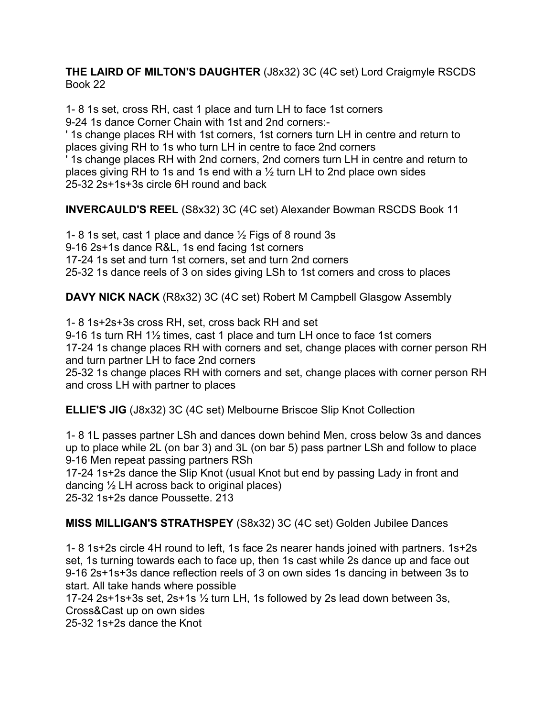**THE LAIRD OF MILTON'S DAUGHTER** (J8x32) 3C (4C set) Lord Craigmyle RSCDS Book 22

1- 8 1s set, cross RH, cast 1 place and turn LH to face 1st corners 9-24 1s dance Corner Chain with 1st and 2nd corners:-

' 1s change places RH with 1st corners, 1st corners turn LH in centre and return to places giving RH to 1s who turn LH in centre to face 2nd corners

' 1s change places RH with 2nd corners, 2nd corners turn LH in centre and return to places giving RH to 1s and 1s end with a ½ turn LH to 2nd place own sides 25-32 2s+1s+3s circle 6H round and back

**INVERCAULD'S REEL** (S8x32) 3C (4C set) Alexander Bowman RSCDS Book 11

1- 8 1s set, cast 1 place and dance ½ Figs of 8 round 3s 9-16 2s+1s dance R&L, 1s end facing 1st corners 17-24 1s set and turn 1st corners, set and turn 2nd corners 25-32 1s dance reels of 3 on sides giving LSh to 1st corners and cross to places

**DAVY NICK NACK** (R8x32) 3C (4C set) Robert M Campbell Glasgow Assembly

1- 8 1s+2s+3s cross RH, set, cross back RH and set

9-16 1s turn RH 1½ times, cast 1 place and turn LH once to face 1st corners 17-24 1s change places RH with corners and set, change places with corner person RH and turn partner LH to face 2nd corners

25-32 1s change places RH with corners and set, change places with corner person RH and cross LH with partner to places

**ELLIE'S JIG** (J8x32) 3C (4C set) Melbourne Briscoe Slip Knot Collection

1- 8 1L passes partner LSh and dances down behind Men, cross below 3s and dances up to place while 2L (on bar 3) and 3L (on bar 5) pass partner LSh and follow to place 9-16 Men repeat passing partners RSh

17-24 1s+2s dance the Slip Knot (usual Knot but end by passing Lady in front and dancing ½ LH across back to original places)

25-32 1s+2s dance Poussette. 213

**MISS MILLIGAN'S STRATHSPEY** (S8x32) 3C (4C set) Golden Jubilee Dances

1- 8 1s+2s circle 4H round to left, 1s face 2s nearer hands joined with partners. 1s+2s set, 1s turning towards each to face up, then 1s cast while 2s dance up and face out 9-16 2s+1s+3s dance reflection reels of 3 on own sides 1s dancing in between 3s to start. All take hands where possible

17-24 2s+1s+3s set, 2s+1s ½ turn LH, 1s followed by 2s lead down between 3s, Cross&Cast up on own sides

25-32 1s+2s dance the Knot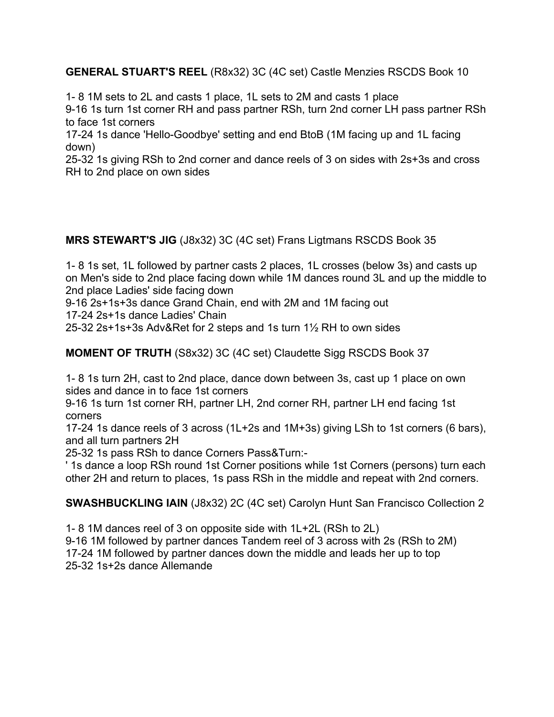**GENERAL STUART'S REEL** (R8x32) 3C (4C set) Castle Menzies RSCDS Book 10

1- 8 1M sets to 2L and casts 1 place, 1L sets to 2M and casts 1 place

9-16 1s turn 1st corner RH and pass partner RSh, turn 2nd corner LH pass partner RSh to face 1st corners

17-24 1s dance 'Hello-Goodbye' setting and end BtoB (1M facing up and 1L facing down)

25-32 1s giving RSh to 2nd corner and dance reels of 3 on sides with 2s+3s and cross RH to 2nd place on own sides

**MRS STEWART'S JIG** (J8x32) 3C (4C set) Frans Ligtmans RSCDS Book 35

1- 8 1s set, 1L followed by partner casts 2 places, 1L crosses (below 3s) and casts up on Men's side to 2nd place facing down while 1M dances round 3L and up the middle to 2nd place Ladies' side facing down

9-16 2s+1s+3s dance Grand Chain, end with 2M and 1M facing out

17-24 2s+1s dance Ladies' Chain

25-32 2s+1s+3s Adv&Ret for 2 steps and 1s turn 1½ RH to own sides

**MOMENT OF TRUTH** (S8x32) 3C (4C set) Claudette Sigg RSCDS Book 37

1- 8 1s turn 2H, cast to 2nd place, dance down between 3s, cast up 1 place on own sides and dance in to face 1st corners

9-16 1s turn 1st corner RH, partner LH, 2nd corner RH, partner LH end facing 1st corners

17-24 1s dance reels of 3 across (1L+2s and 1M+3s) giving LSh to 1st corners (6 bars), and all turn partners 2H

25-32 1s pass RSh to dance Corners Pass&Turn:-

' 1s dance a loop RSh round 1st Corner positions while 1st Corners (persons) turn each other 2H and return to places, 1s pass RSh in the middle and repeat with 2nd corners.

**SWASHBUCKLING IAIN** (J8x32) 2C (4C set) Carolyn Hunt San Francisco Collection 2

1- 8 1M dances reel of 3 on opposite side with 1L+2L (RSh to 2L) 9-16 1M followed by partner dances Tandem reel of 3 across with 2s (RSh to 2M) 17-24 1M followed by partner dances down the middle and leads her up to top 25-32 1s+2s dance Allemande